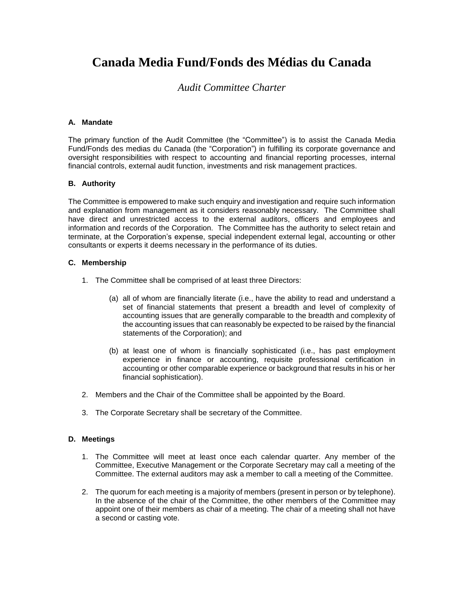# **Canada Media Fund/Fonds des Médias du Canada**

## *Audit Committee Charter*

#### **A. Mandate**

The primary function of the Audit Committee (the "Committee") is to assist the Canada Media Fund/Fonds des medias du Canada (the "Corporation") in fulfilling its corporate governance and oversight responsibilities with respect to accounting and financial reporting processes, internal financial controls, external audit function, investments and risk management practices.

#### **B. Authority**

The Committee is empowered to make such enquiry and investigation and require such information and explanation from management as it considers reasonably necessary. The Committee shall have direct and unrestricted access to the external auditors, officers and employees and information and records of the Corporation. The Committee has the authority to select retain and terminate, at the Corporation's expense, special independent external legal, accounting or other consultants or experts it deems necessary in the performance of its duties.

#### **C. Membership**

- 1. The Committee shall be comprised of at least three Directors:
	- (a) all of whom are financially literate (i.e., have the ability to read and understand a set of financial statements that present a breadth and level of complexity of accounting issues that are generally comparable to the breadth and complexity of the accounting issues that can reasonably be expected to be raised by the financial statements of the Corporation); and
	- (b) at least one of whom is financially sophisticated (i.e., has past employment experience in finance or accounting, requisite professional certification in accounting or other comparable experience or background that results in his or her financial sophistication).
- 2. Members and the Chair of the Committee shall be appointed by the Board.
- 3. The Corporate Secretary shall be secretary of the Committee.

#### **D. Meetings**

- 1. The Committee will meet at least once each calendar quarter. Any member of the Committee, Executive Management or the Corporate Secretary may call a meeting of the Committee. The external auditors may ask a member to call a meeting of the Committee.
- 2. The quorum for each meeting is a majority of members (present in person or by telephone). In the absence of the chair of the Committee, the other members of the Committee may appoint one of their members as chair of a meeting. The chair of a meeting shall not have a second or casting vote.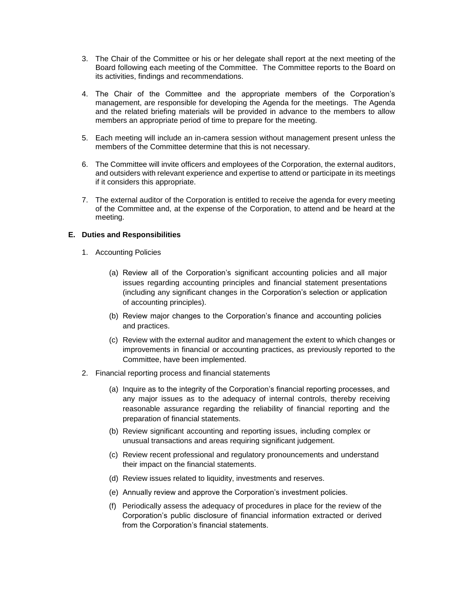- 3. The Chair of the Committee or his or her delegate shall report at the next meeting of the Board following each meeting of the Committee. The Committee reports to the Board on its activities, findings and recommendations.
- 4. The Chair of the Committee and the appropriate members of the Corporation's management, are responsible for developing the Agenda for the meetings. The Agenda and the related briefing materials will be provided in advance to the members to allow members an appropriate period of time to prepare for the meeting.
- 5. Each meeting will include an in-camera session without management present unless the members of the Committee determine that this is not necessary.
- 6. The Committee will invite officers and employees of the Corporation, the external auditors, and outsiders with relevant experience and expertise to attend or participate in its meetings if it considers this appropriate.
- 7. The external auditor of the Corporation is entitled to receive the agenda for every meeting of the Committee and, at the expense of the Corporation, to attend and be heard at the meeting.

### **E. Duties and Responsibilities**

- 1. Accounting Policies
	- (a) Review all of the Corporation's significant accounting policies and all major issues regarding accounting principles and financial statement presentations (including any significant changes in the Corporation's selection or application of accounting principles).
	- (b) Review major changes to the Corporation's finance and accounting policies and practices.
	- (c) Review with the external auditor and management the extent to which changes or improvements in financial or accounting practices, as previously reported to the Committee, have been implemented.
- 2. Financial reporting process and financial statements
	- (a) Inquire as to the integrity of the Corporation's financial reporting processes, and any major issues as to the adequacy of internal controls, thereby receiving reasonable assurance regarding the reliability of financial reporting and the preparation of financial statements.
	- (b) Review significant accounting and reporting issues, including complex or unusual transactions and areas requiring significant judgement.
	- (c) Review recent professional and regulatory pronouncements and understand their impact on the financial statements.
	- (d) Review issues related to liquidity, investments and reserves.
	- (e) Annually review and approve the Corporation's investment policies.
	- (f) Periodically assess the adequacy of procedures in place for the review of the Corporation's public disclosure of financial information extracted or derived from the Corporation's financial statements.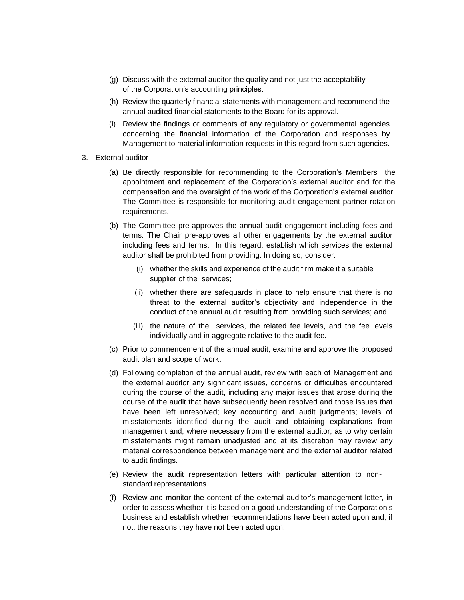- (g) Discuss with the external auditor the quality and not just the acceptability of the Corporation's accounting principles.
- (h) Review the quarterly financial statements with management and recommend the annual audited financial statements to the Board for its approval.
- (i) Review the findings or comments of any regulatory or governmental agencies concerning the financial information of the Corporation and responses by Management to material information requests in this regard from such agencies.
- 3. External auditor
	- (a) Be directly responsible for recommending to the Corporation's Members the appointment and replacement of the Corporation's external auditor and for the compensation and the oversight of the work of the Corporation's external auditor. The Committee is responsible for monitoring audit engagement partner rotation requirements.
	- (b) The Committee pre-approves the annual audit engagement including fees and terms. The Chair pre-approves all other engagements by the external auditor including fees and terms. In this regard, establish which services the external auditor shall be prohibited from providing. In doing so, consider:
		- (i) whether the skills and experience of the audit firm make it a suitable supplier of the services;
		- (ii) whether there are safeguards in place to help ensure that there is no threat to the external auditor's objectivity and independence in the conduct of the annual audit resulting from providing such services; and
		- (iii) the nature of the services, the related fee levels, and the fee levels individually and in aggregate relative to the audit fee.
	- (c) Prior to commencement of the annual audit, examine and approve the proposed audit plan and scope of work.
	- (d) Following completion of the annual audit, review with each of Management and the external auditor any significant issues, concerns or difficulties encountered during the course of the audit, including any major issues that arose during the course of the audit that have subsequently been resolved and those issues that have been left unresolved; key accounting and audit judgments; levels of misstatements identified during the audit and obtaining explanations from management and, where necessary from the external auditor, as to why certain misstatements might remain unadjusted and at its discretion may review any material correspondence between management and the external auditor related to audit findings.
	- (e) Review the audit representation letters with particular attention to nonstandard representations.
	- (f) Review and monitor the content of the external auditor's management letter, in order to assess whether it is based on a good understanding of the Corporation's business and establish whether recommendations have been acted upon and, if not, the reasons they have not been acted upon.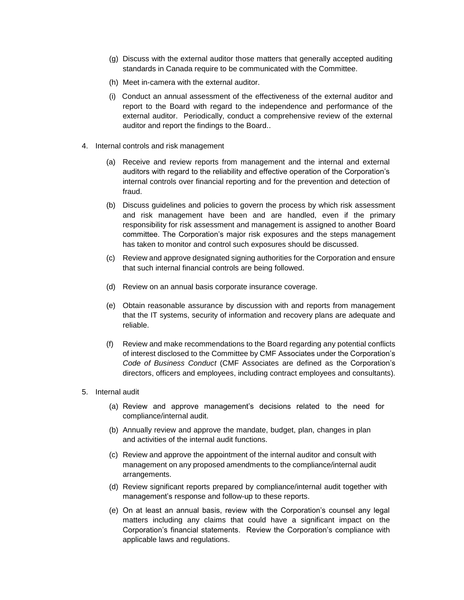- (g) Discuss with the external auditor those matters that generally accepted auditing standards in Canada require to be communicated with the Committee.
- (h) Meet in-camera with the external auditor.
- (i) Conduct an annual assessment of the effectiveness of the external auditor and report to the Board with regard to the independence and performance of the external auditor. Periodically, conduct a comprehensive review of the external auditor and report the findings to the Board..
- 4. Internal controls and risk management
	- (a) Receive and review reports from management and the internal and external auditors with regard to the reliability and effective operation of the Corporation's internal controls over financial reporting and for the prevention and detection of fraud.
	- (b) Discuss guidelines and policies to govern the process by which risk assessment and risk management have been and are handled, even if the primary responsibility for risk assessment and management is assigned to another Board committee. The Corporation's major risk exposures and the steps management has taken to monitor and control such exposures should be discussed.
	- (c) Review and approve designated signing authorities for the Corporation and ensure that such internal financial controls are being followed.
	- (d) Review on an annual basis corporate insurance coverage.
	- (e) Obtain reasonable assurance by discussion with and reports from management that the IT systems, security of information and recovery plans are adequate and reliable.
	- (f) Review and make recommendations to the Board regarding any potential conflicts of interest disclosed to the Committee by CMF Associates under the Corporation's *Code of Business Conduct* (CMF Associates are defined as the Corporation's directors, officers and employees, including contract employees and consultants)*.*
- 5. Internal audit
	- (a) Review and approve management's decisions related to the need for compliance/internal audit.
	- (b) Annually review and approve the mandate, budget, plan, changes in plan and activities of the internal audit functions.
	- (c) Review and approve the appointment of the internal auditor and consult with management on any proposed amendments to the compliance/internal audit arrangements.
	- (d) Review significant reports prepared by compliance/internal audit together with management's response and follow-up to these reports.
	- (e) On at least an annual basis, review with the Corporation's counsel any legal matters including any claims that could have a significant impact on the Corporation's financial statements. Review the Corporation's compliance with applicable laws and regulations.